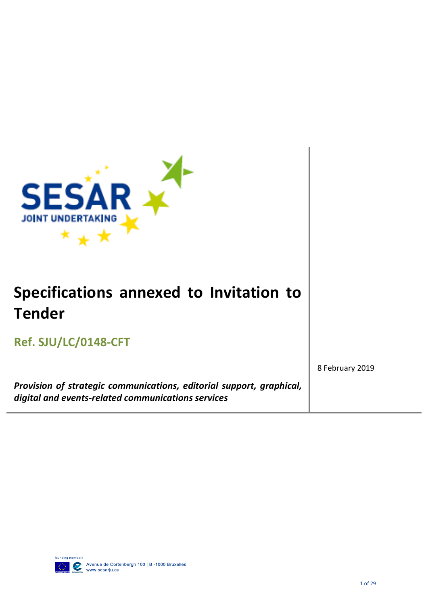

*Provision of strategic communications, editorial support, graphical, digital and events-related communications services*

8 February 2019

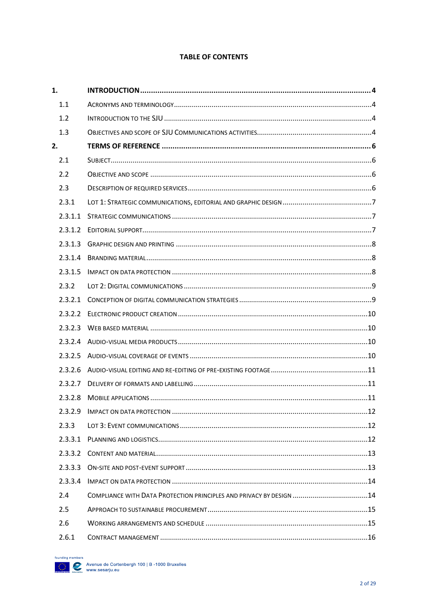#### **TABLE OF CONTENTS**

| 1.      |                                                                     |  |
|---------|---------------------------------------------------------------------|--|
| 1.1     |                                                                     |  |
| 1.2     |                                                                     |  |
| 1.3     |                                                                     |  |
| 2.      |                                                                     |  |
| 2.1     |                                                                     |  |
| 2.2     |                                                                     |  |
| 2.3     |                                                                     |  |
| 2.3.1   |                                                                     |  |
| 2.3.1.1 |                                                                     |  |
| 2.3.1.2 |                                                                     |  |
| 2.3.1.3 |                                                                     |  |
| 2.3.1.4 |                                                                     |  |
| 2.3.1.5 |                                                                     |  |
| 2.3.2   |                                                                     |  |
| 2.3.2.1 |                                                                     |  |
| 2.3.2.2 |                                                                     |  |
| 2.3.2.3 |                                                                     |  |
| 2.3.2.4 |                                                                     |  |
| 2.3.2.5 |                                                                     |  |
| 2.3.2.6 |                                                                     |  |
| 2.3.2.7 |                                                                     |  |
| 2.3.2.8 |                                                                     |  |
| 2.3.2.9 |                                                                     |  |
| 2.3.3   |                                                                     |  |
| 2.3.3.1 |                                                                     |  |
| 2.3.3.2 |                                                                     |  |
| 2.3.3.3 |                                                                     |  |
| 2.3.3.4 |                                                                     |  |
| 2.4     | COMPLIANCE WITH DATA PROTECTION PRINCIPLES AND PRIVACY BY DESIGN 14 |  |
| 2.5     |                                                                     |  |
| 2.6     |                                                                     |  |
| 2.6.1   |                                                                     |  |

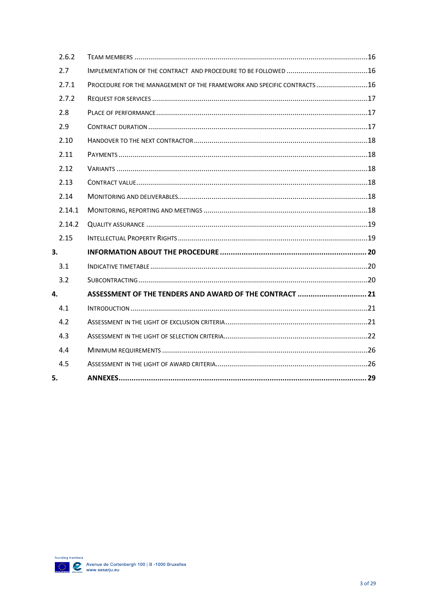| 2.6.2  |                                                                        |  |
|--------|------------------------------------------------------------------------|--|
| 2.7    |                                                                        |  |
| 2.7.1  | PROCEDURE FOR THE MANAGEMENT OF THE FRAMEWORK AND SPECIFIC CONTRACTS16 |  |
| 2.7.2  |                                                                        |  |
| 2.8    |                                                                        |  |
| 2.9    |                                                                        |  |
| 2.10   |                                                                        |  |
| 2.11   |                                                                        |  |
| 2.12   |                                                                        |  |
| 2.13   |                                                                        |  |
| 2.14   |                                                                        |  |
| 2.14.1 |                                                                        |  |
| 2.14.2 |                                                                        |  |
| 2.15   |                                                                        |  |
| 3.     |                                                                        |  |
| 3.1    |                                                                        |  |
| 3.2    |                                                                        |  |
| 4.     | ASSESSMENT OF THE TENDERS AND AWARD OF THE CONTRACT  21                |  |
| 4.1    |                                                                        |  |
| 4.2    |                                                                        |  |
| 4.3    |                                                                        |  |
| 4.4    |                                                                        |  |
| 4.5    |                                                                        |  |
| 5.     |                                                                        |  |

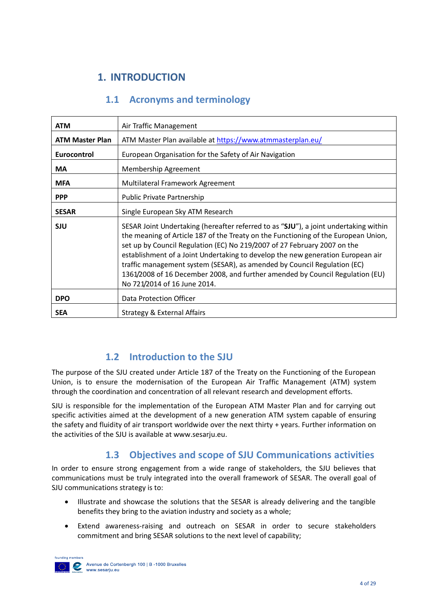# <span id="page-3-0"></span>**1. INTRODUCTION**

# **1.1 Acronyms and terminology**

<span id="page-3-1"></span>

| <b>ATM</b>             | Air Traffic Management                                                                                                                                                                                                                                                                                                                                                                                                                                                                                                                 |
|------------------------|----------------------------------------------------------------------------------------------------------------------------------------------------------------------------------------------------------------------------------------------------------------------------------------------------------------------------------------------------------------------------------------------------------------------------------------------------------------------------------------------------------------------------------------|
| <b>ATM Master Plan</b> | ATM Master Plan available at https://www.atmmasterplan.eu/                                                                                                                                                                                                                                                                                                                                                                                                                                                                             |
| Eurocontrol            | European Organisation for the Safety of Air Navigation                                                                                                                                                                                                                                                                                                                                                                                                                                                                                 |
| <b>MA</b>              | Membership Agreement                                                                                                                                                                                                                                                                                                                                                                                                                                                                                                                   |
| <b>MFA</b>             | Multilateral Framework Agreement                                                                                                                                                                                                                                                                                                                                                                                                                                                                                                       |
| <b>PPP</b>             | <b>Public Private Partnership</b>                                                                                                                                                                                                                                                                                                                                                                                                                                                                                                      |
| <b>SESAR</b>           | Single European Sky ATM Research                                                                                                                                                                                                                                                                                                                                                                                                                                                                                                       |
| <b>SJU</b>             | SESAR Joint Undertaking (hereafter referred to as "SJU"), a joint undertaking within<br>the meaning of Article 187 of the Treaty on the Functioning of the European Union,<br>set up by Council Regulation (EC) No 219/2007 of 27 February 2007 on the<br>establishment of a Joint Undertaking to develop the new generation European air<br>traffic management system (SESAR), as amended by Council Regulation (EC)<br>1361/2008 of 16 December 2008, and further amended by Council Regulation (EU)<br>No 721/2014 of 16 June 2014. |
| <b>DPO</b>             | Data Protection Officer                                                                                                                                                                                                                                                                                                                                                                                                                                                                                                                |
| <b>SEA</b>             | Strategy & External Affairs                                                                                                                                                                                                                                                                                                                                                                                                                                                                                                            |

## **1.2 Introduction to the SJU**

<span id="page-3-2"></span>The purpose of the SJU created under Article 187 of the Treaty on the Functioning of the European Union, is to ensure the modernisation of the European Air Traffic Management (ATM) system through the coordination and concentration of all relevant research and development efforts.

SJU is responsible for the implementation of the European ATM Master Plan and for carrying out specific activities aimed at the development of a new generation ATM system capable of ensuring the safety and fluidity of air transport worldwide over the next thirty + years. Further information on the activities of the SJU is available a[t www.sesarju.eu.](http://www.sesarju.eu/)

## **1.3 Objectives and scope of SJU Communications activities**

<span id="page-3-3"></span>In order to ensure strong engagement from a wide range of stakeholders, the SJU believes that communications must be truly integrated into the overall framework of SESAR. The overall goal of SJU communications strategy is to:

- Illustrate and showcase the solutions that the SESAR is already delivering and the tangible benefits they bring to the aviation industry and society as a whole;
- Extend awareness-raising and outreach on SESAR in order to secure stakeholders commitment and bring SESAR solutions to the next level of capability;

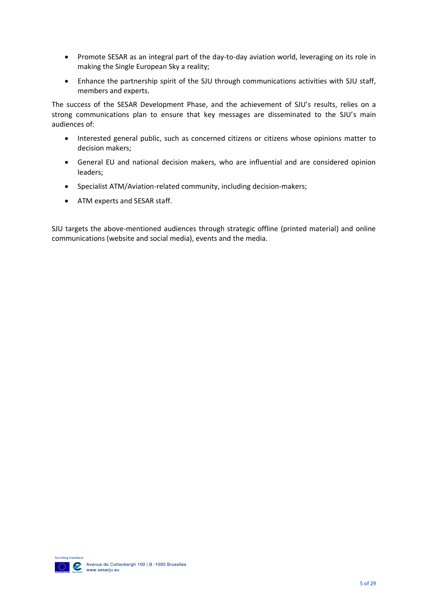- Promote SESAR as an integral part of the day-to-day aviation world, leveraging on its role in making the Single European Sky a reality;
- Enhance the partnership spirit of the SJU through communications activities with SJU staff, members and experts.

The success of the SESAR Development Phase, and the achievement of SJU's results, relies on a strong communications plan to ensure that key messages are disseminated to the SJU's main audiences of:

- Interested general public, such as concerned citizens or citizens whose opinions matter to decision makers;
- General EU and national decision makers, who are influential and are considered opinion leaders;
- Specialist ATM/Aviation-related community, including decision-makers;
- ATM experts and SESAR staff.

SJU targets the above-mentioned audiences through strategic offline (printed material) and online communications (website and social media), events and the media.

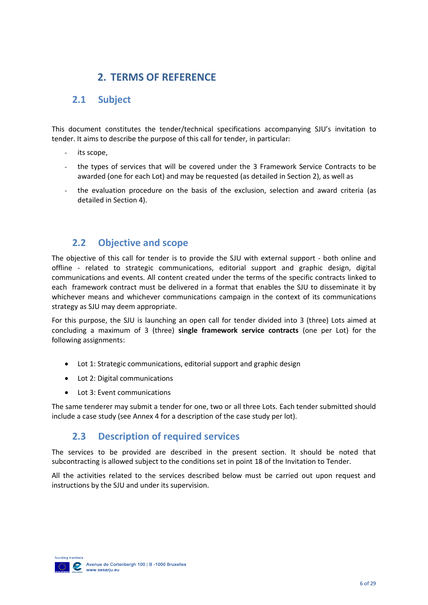# **2. TERMS OF REFERENCE**

# <span id="page-5-1"></span><span id="page-5-0"></span>**2.1 Subject**

This document constitutes the tender/technical specifications accompanying SJU's invitation to tender. It aims to describe the purpose of this call for tender, in particular:

- its scope,
- the types of services that will be covered under the 3 Framework Service Contracts to be awarded (one for each Lot) and may be requested (as detailed in Section 2), as well as
- the evaluation procedure on the basis of the exclusion, selection and award criteria (as detailed in Section 4).

## <span id="page-5-2"></span>**2.2 Objective and scope**

The objective of this call for tender is to provide the SJU with external support - both online and offline - related to strategic communications, editorial support and graphic design, digital communications and events. All content created under the terms of the specific contracts linked to each framework contract must be delivered in a format that enables the SJU to disseminate it by whichever means and whichever communications campaign in the context of its communications strategy as SJU may deem appropriate.

For this purpose, the SJU is launching an open call for tender divided into 3 (three) Lots aimed at concluding a maximum of 3 (three) **single framework service contracts** (one per Lot) for the following assignments:

- Lot 1: Strategic communications, editorial support and graphic design
- Lot 2: Digital communications
- Lot 3: Event communications

<span id="page-5-3"></span>The same tenderer may submit a tender for one, two or all three Lots. Each tender submitted should include a case study (see Annex 4 for a description of the case study per lot).

## **2.3 Description of required services**

The services to be provided are described in the present section. It should be noted that subcontracting is allowed subject to the conditions set in point 18 of the Invitation to Tender.

All the activities related to the services described below must be carried out upon request and instructions by the SJU and under its supervision.

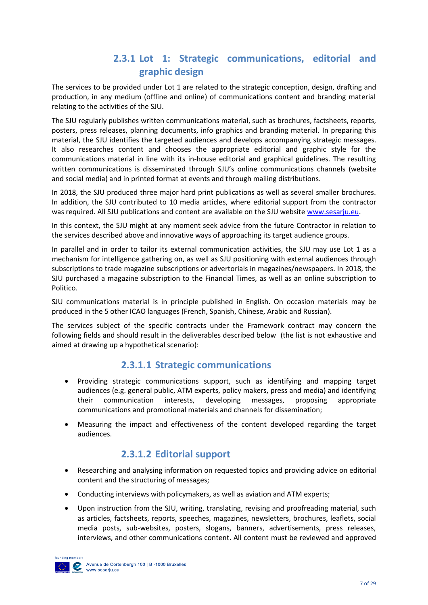# **2.3.1 Lot 1: Strategic communications, editorial and graphic design**

<span id="page-6-0"></span>The services to be provided under Lot 1 are related to the strategic conception, design, drafting and production, in any medium (offline and online) of communications content and branding material relating to the activities of the SJU.

The SJU regularly publishes written communications material, such as brochures, factsheets, reports, posters, press releases, planning documents, info graphics and branding material. In preparing this material, the SJU identifies the targeted audiences and develops accompanying strategic messages. It also researches content and chooses the appropriate editorial and graphic style for the communications material in line with its in-house editorial and graphical guidelines. The resulting written communications is disseminated through SJU's online communications channels (website and social media) and in printed format at events and through mailing distributions.

In 2018, the SJU produced three major hard print publications as well as several smaller brochures. In addition, the SJU contributed to 10 media articles, where editorial support from the contractor was required. All SJU publications and content are available on the SJU website [www.sesarju.eu.](http://www.sesarju.eu/)

In this context, the SJU might at any moment seek advice from the future Contractor in relation to the services described above and innovative ways of approaching its target audience groups.

In parallel and in order to tailor its external communication activities, the SJU may use Lot 1 as a mechanism for intelligence gathering on, as well as SJU positioning with external audiences through subscriptions to trade magazine subscriptions or advertorials in magazines/newspapers. In 2018, the SJU purchased a magazine subscription to the Financial Times, as well as an online subscription to Politico.

SJU communications material is in principle published in English. On occasion materials may be produced in the 5 other ICAO languages (French, Spanish, Chinese, Arabic and Russian).

The services subject of the specific contracts under the Framework contract may concern the following fields and should result in the deliverables described below (the list is not exhaustive and aimed at drawing up a hypothetical scenario):

## **2.3.1.1 Strategic communications**

- <span id="page-6-1"></span>• Providing strategic communications support, such as identifying and mapping target audiences (e.g. general public, ATM experts, policy makers, press and media) and identifying their communication interests, developing messages, proposing appropriate communications and promotional materials and channels for dissemination;
- Measuring the impact and effectiveness of the content developed regarding the target audiences.

## **2.3.1.2 Editorial support**

- <span id="page-6-2"></span>• Researching and analysing information on requested topics and providing advice on editorial content and the structuring of messages;
- Conducting interviews with policymakers, as well as aviation and ATM experts;
- Upon instruction from the SJU, writing, translating, revising and proofreading material, such as articles, factsheets, reports, speeches, magazines, newsletters, brochures, leaflets, social media posts, sub-websites, posters, slogans, banners, advertisements, press releases, interviews, and other communications content. All content must be reviewed and approved

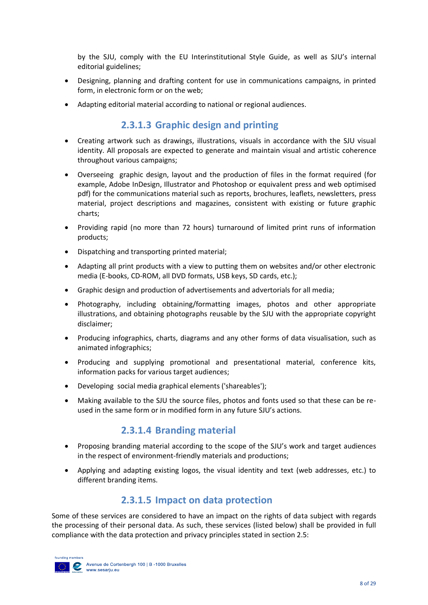by the SJU, comply with the EU Interinstitutional Style Guide, as well as SJU's internal editorial guidelines;

- Designing, planning and drafting content for use in communications campaigns, in printed form, in electronic form or on the web;
- <span id="page-7-0"></span>• Adapting editorial material according to national or regional audiences.

## **2.3.1.3 Graphic design and printing**

- Creating artwork such as drawings, illustrations, visuals in accordance with the SJU visual identity. All proposals are expected to generate and maintain visual and artistic coherence throughout various campaigns;
- Overseeing graphic design, layout and the production of files in the format required (for example, Adobe InDesign, Illustrator and Photoshop or equivalent press and web optimised pdf) for the communications material such as reports, brochures, leaflets, newsletters, press material, project descriptions and magazines, consistent with existing or future graphic charts;
- Providing rapid (no more than 72 hours) turnaround of limited print runs of information products;
- Dispatching and transporting printed material;
- Adapting all print products with a view to putting them on websites and/or other electronic media (E-books, CD-ROM, all DVD formats, USB keys, SD cards, etc.);
- Graphic design and production of advertisements and advertorials for all media;
- Photography, including obtaining/formatting images, photos and other appropriate illustrations, and obtaining photographs reusable by the SJU with the appropriate copyright disclaimer;
- Producing infographics, charts, diagrams and any other forms of data visualisation, such as animated infographics;
- Producing and supplying promotional and presentational material, conference kits, information packs for various target audiences;
- Developing social media graphical elements ('shareables');
- Making available to the SJU the source files, photos and fonts used so that these can be reused in the same form or in modified form in any future SJU's actions.

## **2.3.1.4 Branding material**

- <span id="page-7-1"></span>• Proposing branding material according to the scope of the SJU's work and target audiences in the respect of environment-friendly materials and productions;
- Applying and adapting existing logos, the visual identity and text (web addresses, etc.) to different branding items.

## **2.3.1.5 Impact on data protection**

<span id="page-7-2"></span>Some of these services are considered to have an impact on the rights of data subject with regards the processing of their personal data. As such, these services (listed below) shall be provided in full compliance with the data protection and privacy principles stated in section 2.5:

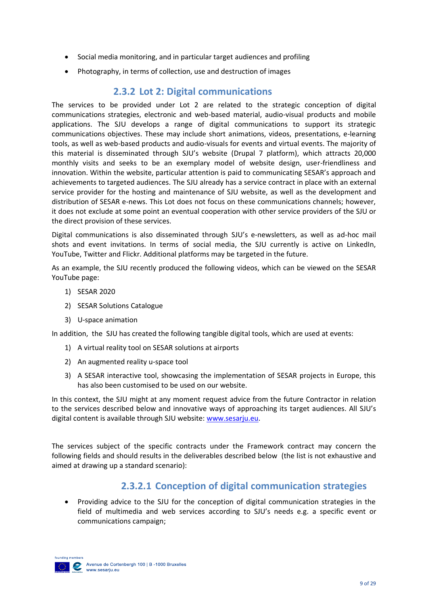- Social media monitoring, and in particular target audiences and profiling
- Photography, in terms of collection, use and destruction of images

### **2.3.2 Lot 2: Digital communications**

<span id="page-8-0"></span>The services to be provided under Lot 2 are related to the strategic conception of digital communications strategies, electronic and web-based material, audio-visual products and mobile applications. The SJU develops a range of digital communications to support its strategic communications objectives. These may include short animations, videos, presentations, e-learning tools, as well as web-based products and audio-visuals for events and virtual events. The majority of this material is disseminated through SJU's website (Drupal 7 platform), which attracts 20,000 monthly visits and seeks to be an exemplary model of website design, user-friendliness and innovation. Within the website, particular attention is paid to communicating SESAR's approach and achievements to targeted audiences. The SJU already has a service contract in place with an external service provider for the hosting and maintenance of SJU website, as well as the development and distribution of SESAR e-news. This Lot does not focus on these communications channels; however, it does not exclude at some point an eventual cooperation with other service providers of the SJU or the direct provision of these services.

Digital communications is also disseminated through SJU's e-newsletters, as well as ad-hoc mail shots and event invitations. In terms of social media, the SJU currently is active on LinkedIn, YouTube, Twitter and Flickr. Additional platforms may be targeted in the future.

As an example, the SJU recently produced the following videos, which can be viewed on the SESAR YouTube page:

- 1) SESAR 2020
- 2) SESAR Solutions Catalogue
- 3) U-space animation

In addition, the SJU has created the following tangible digital tools, which are used at events:

- 1) A virtual reality tool on SESAR solutions at airports
- 2) An augmented reality u-space tool
- 3) A SESAR interactive tool, showcasing the implementation of SESAR projects in Europe, this has also been customised to be used on our website.

In this context, the SJU might at any moment request advice from the future Contractor in relation to the services described below and innovative ways of approaching its target audiences. All SJU's digital content is available through SJU website[: www.sesarju.eu.](http://www.sesarju.eu/)

The services subject of the specific contracts under the Framework contract may concern the following fields and should results in the deliverables described below (the list is not exhaustive and aimed at drawing up a standard scenario):

## **2.3.2.1 Conception of digital communication strategies**

<span id="page-8-1"></span>• Providing advice to the SJU for the conception of digital communication strategies in the field of multimedia and web services according to SJU's needs e.g. a specific event or communications campaign;

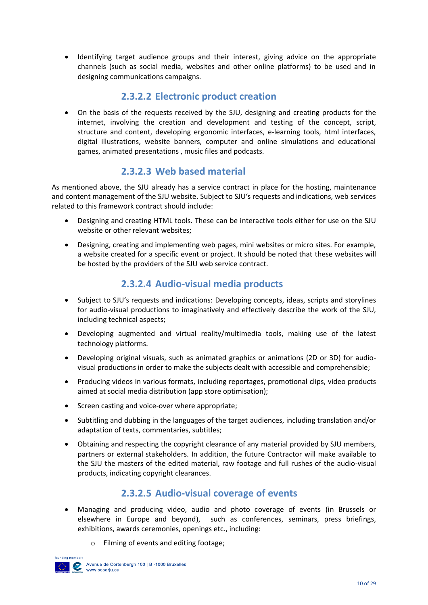• Identifying target audience groups and their interest, giving advice on the appropriate channels (such as social media, websites and other online platforms) to be used and in designing communications campaigns.

## **2.3.2.2 Electronic product creation**

<span id="page-9-0"></span>• On the basis of the requests received by the SJU, designing and creating products for the internet, involving the creation and development and testing of the concept, script, structure and content, developing ergonomic interfaces, e-learning tools, html interfaces, digital illustrations, website banners, computer and online simulations and educational games, animated presentations , music files and podcasts.

## **2.3.2.3 Web based material**

<span id="page-9-1"></span>As mentioned above, the SJU already has a service contract in place for the hosting, maintenance and content management of the SJU website. Subject to SJU's requests and indications, web services related to this framework contract should include:

- Designing and creating HTML tools. These can be interactive tools either for use on the SJU website or other relevant websites;
- Designing, creating and implementing web pages, mini websites or micro sites. For example, a website created for a specific event or project. It should be noted that these websites will be hosted by the providers of the SJU web service contract.

## **2.3.2.4 Audio-visual media products**

- <span id="page-9-2"></span>• Subject to SJU's requests and indications: Developing concepts, ideas, scripts and storylines for audio-visual productions to imaginatively and effectively describe the work of the SJU, including technical aspects;
- Developing augmented and virtual reality/multimedia tools, making use of the latest technology platforms.
- Developing original visuals, such as animated graphics or animations (2D or 3D) for audiovisual productions in order to make the subjects dealt with accessible and comprehensible;
- Producing videos in various formats, including reportages, promotional clips, video products aimed at social media distribution (app store optimisation);
- Screen casting and voice-over where appropriate;
- Subtitling and dubbing in the languages of the target audiences, including translation and/or adaptation of texts, commentaries, subtitles;
- Obtaining and respecting the copyright clearance of any material provided by SJU members, partners or external stakeholders. In addition, the future Contractor will make available to the SJU the masters of the edited material, raw footage and full rushes of the audio-visual products, indicating copyright clearances.

## **2.3.2.5 Audio-visual coverage of events**

- <span id="page-9-3"></span>• Managing and producing video, audio and photo coverage of events (in Brussels or elsewhere in Europe and beyond), such as conferences, seminars, press briefings, exhibitions, awards ceremonies, openings etc., including:
	- o Filming of events and editing footage;

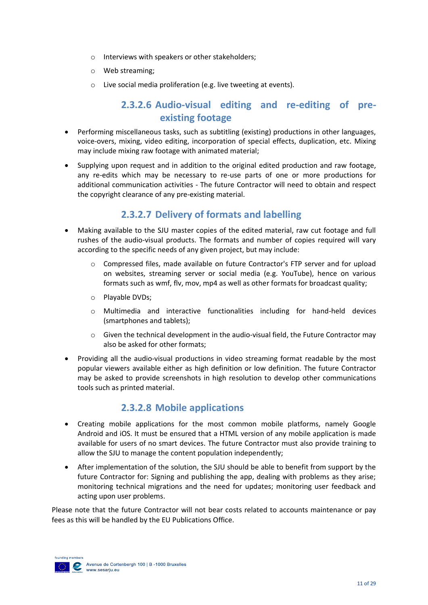- o Interviews with speakers or other stakeholders;
- o Web streaming;
- o Live social media proliferation (e.g. live tweeting at events).

## **2.3.2.6 Audio-visual editing and re-editing of preexisting footage**

- <span id="page-10-0"></span>• Performing miscellaneous tasks, such as subtitling (existing) productions in other languages, voice-overs, mixing, video editing, incorporation of special effects, duplication, etc. Mixing may include mixing raw footage with animated material;
- Supplying upon request and in addition to the original edited production and raw footage, any re-edits which may be necessary to re-use parts of one or more productions for additional communication activities - The future Contractor will need to obtain and respect the copyright clearance of any pre-existing material.

## **2.3.2.7 Delivery of formats and labelling**

- <span id="page-10-1"></span>• Making available to the SJU master copies of the edited material, raw cut footage and full rushes of the audio-visual products. The formats and number of copies required will vary according to the specific needs of any given project, but may include:
	- $\circ$  Compressed files, made available on future Contractor's FTP server and for upload on websites, streaming server or social media (e.g. YouTube), hence on various formats such as wmf, flv, mov, mp4 as well as other formats for broadcast quality;
	- o Playable DVDs;
	- o Multimedia and interactive functionalities including for hand-held devices (smartphones and tablets);
	- $\circ$  Given the technical development in the audio-visual field, the Future Contractor may also be asked for other formats;
- Providing all the audio-visual productions in video streaming format readable by the most popular viewers available either as high definition or low definition. The future Contractor may be asked to provide screenshots in high resolution to develop other communications tools such as printed material.

# **2.3.2.8 Mobile applications**

- <span id="page-10-2"></span>• Creating mobile applications for the most common mobile platforms, namely Google Android and iOS. It must be ensured that a HTML version of any mobile application is made available for users of no smart devices. The future Contractor must also provide training to allow the SJU to manage the content population independently;
- After implementation of the solution, the SJU should be able to benefit from support by the future Contractor for: Signing and publishing the app, dealing with problems as they arise; monitoring technical migrations and the need for updates; monitoring user feedback and acting upon user problems.

Please note that the future Contractor will not bear costs related to accounts maintenance or pay fees as this will be handled by the EU Publications Office.

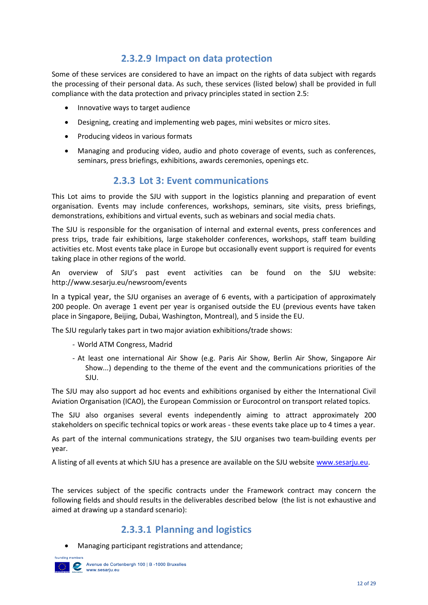## **2.3.2.9 Impact on data protection**

<span id="page-11-0"></span>Some of these services are considered to have an impact on the rights of data subject with regards the processing of their personal data. As such, these services (listed below) shall be provided in full compliance with the data protection and privacy principles stated in section 2.5:

- Innovative ways to target audience
- Designing, creating and implementing web pages, mini websites or micro sites.
- Producing videos in various formats
- Managing and producing video, audio and photo coverage of events, such as conferences, seminars, press briefings, exhibitions, awards ceremonies, openings etc.

#### **2.3.3 Lot 3: Event communications**

<span id="page-11-1"></span>This Lot aims to provide the SJU with support in the logistics planning and preparation of event organisation. Events may include conferences, workshops, seminars, site visits, press briefings, demonstrations, exhibitions and virtual events, such as webinars and social media chats.

The SJU is responsible for the organisation of internal and external events, press conferences and press trips, trade fair exhibitions, large stakeholder conferences, workshops, staff team building activities etc. Most events take place in Europe but occasionally event support is required for events taking place in other regions of the world.

An overview of SJU's past event activities can be found on the SJU website: http://www.sesarju.eu/newsroom/events

In a typical year, the SJU organises an average of 6 events, with a participation of approximately 200 people. On average 1 event per year is organised outside the EU (previous events have taken place in Singapore, Beijing, Dubai, Washington, Montreal), and 5 inside the EU.

The SJU regularly takes part in two major aviation exhibitions/trade shows:

- World ATM Congress, Madrid
- At least one international Air Show (e.g. Paris Air Show, Berlin Air Show, Singapore Air Show...) depending to the theme of the event and the communications priorities of the SJU.

The SJU may also support ad hoc events and exhibitions organised by either the International Civil Aviation Organisation (ICAO), the European Commission or Eurocontrol on transport related topics.

The SJU also organises several events independently aiming to attract approximately 200 stakeholders on specific technical topics or work areas - these events take place up to 4 times a year.

As part of the internal communications strategy, the SJU organises two team-building events per year.

A listing of all events at which SJU has a presence are available on the SJU website [www.sesarju.eu.](http://www.sesarju.eu/)

The services subject of the specific contracts under the Framework contract may concern the following fields and should results in the deliverables described below (the list is not exhaustive and aimed at drawing up a standard scenario):

## **2.3.3.1 Planning and logistics**

<span id="page-11-2"></span>• Managing participant registrations and attendance;

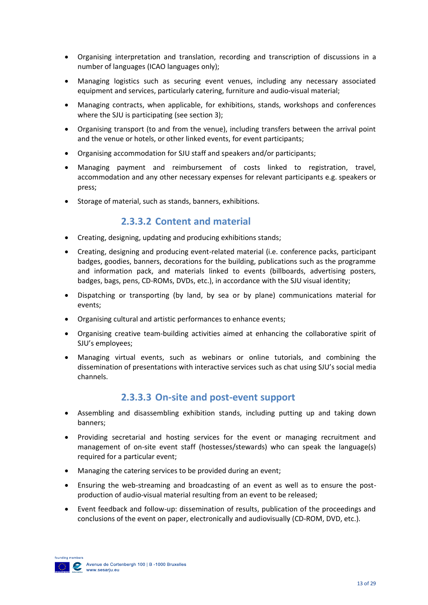- Organising interpretation and translation, recording and transcription of discussions in a number of languages (ICAO languages only);
- Managing logistics such as securing event venues, including any necessary associated equipment and services, particularly catering, furniture and audio-visual material;
- Managing contracts, when applicable, for exhibitions, stands, workshops and conferences where the SJU is participating (see section 3);
- Organising transport (to and from the venue), including transfers between the arrival point and the venue or hotels, or other linked events, for event participants;
- Organising accommodation for SJU staff and speakers and/or participants;
- Managing payment and reimbursement of costs linked to registration, travel, accommodation and any other necessary expenses for relevant participants e.g. speakers or press;
- <span id="page-12-0"></span>• Storage of material, such as stands, banners, exhibitions.

#### **2.3.3.2 Content and material**

- Creating, designing, updating and producing exhibitions stands;
- Creating, designing and producing event-related material (i.e. conference packs, participant badges, goodies, banners, decorations for the building, publications such as the programme and information pack, and materials linked to events (billboards, advertising posters, badges, bags, pens, CD-ROMs, DVDs, etc.), in accordance with the SJU visual identity;
- Dispatching or transporting (by land, by sea or by plane) communications material for events;
- Organising cultural and artistic performances to enhance events;
- Organising creative team-building activities aimed at enhancing the collaborative spirit of SJU's employees;
- Managing virtual events, such as webinars or online tutorials, and combining the dissemination of presentations with interactive services such as chat using SJU's social media channels.

## **2.3.3.3 On-site and post-event support**

- <span id="page-12-1"></span>• Assembling and disassembling exhibition stands, including putting up and taking down banners;
- Providing secretarial and hosting services for the event or managing recruitment and management of on-site event staff (hostesses/stewards) who can speak the language(s) required for a particular event;
- Managing the catering services to be provided during an event;
- Ensuring the web-streaming and broadcasting of an event as well as to ensure the postproduction of audio-visual material resulting from an event to be released;
- Event feedback and follow-up: dissemination of results, publication of the proceedings and conclusions of the event on paper, electronically and audiovisually (CD-ROM, DVD, etc.).

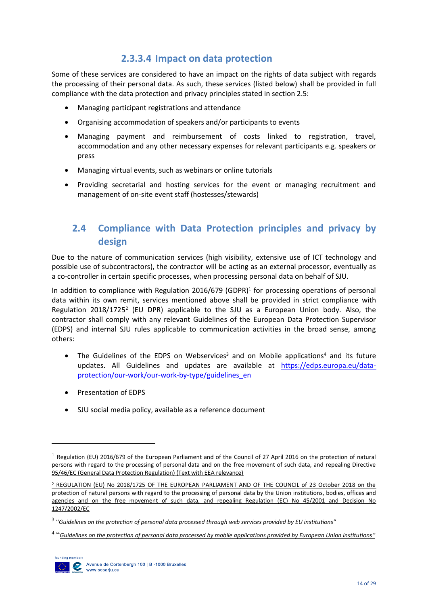## **2.3.3.4 Impact on data protection**

<span id="page-13-0"></span>Some of these services are considered to have an impact on the rights of data subject with regards the processing of their personal data. As such, these services (listed below) shall be provided in full compliance with the data protection and privacy principles stated in section 2.5:

- Managing participant registrations and attendance
- Organising accommodation of speakers and/or participants to events
- Managing payment and reimbursement of costs linked to registration, travel, accommodation and any other necessary expenses for relevant participants e.g. speakers or press
- Managing virtual events, such as webinars or online tutorials
- Providing secretarial and hosting services for the event or managing recruitment and management of on-site event staff (hostesses/stewards)

# <span id="page-13-1"></span>**2.4 Compliance with Data Protection principles and privacy by design**

Due to the nature of communication services (high visibility, extensive use of ICT technology and possible use of subcontractors), the contractor will be acting as an external processor, eventually as a co-controller in certain specific processes, when processing personal data on behalf of SJU.

In addition to compliance with Regulation 2016/679 (GDPR)<sup>1</sup> for processing operations of personal data within its own remit, services mentioned above shall be provided in strict compliance with Regulation 2018/1725<sup>2</sup> (EU DPR) applicable to the SJU as a European Union body. Also, the contractor shall comply with any relevant Guidelines of the European Data Protection Supervisor (EDPS) and internal SJU rules applicable to communication activities in the broad sense, among others:

- The Guidelines of the EDPS on Webservices<sup>3</sup> and on Mobile applications<sup>4</sup> and its future updates. All Guidelines and updates are available at [https://edps.europa.eu/data](https://edps.europa.eu/data-protection/our-work/our-work-by-type/guidelines_en)[protection/our-work/our-work-by-type/guidelines\\_en](https://edps.europa.eu/data-protection/our-work/our-work-by-type/guidelines_en)
- Presentation of EDPS
- SJU social media policy, available as a reference document

<sup>4</sup> "*[Guidelines on the protection of personal data processed by mobile applications provided by European Union institutions](https://edps.europa.eu/sites/edp/files/publication/16-11-07_guidelines_mobile_apps_en.pdf)"*



1

<sup>&</sup>lt;sup>1</sup> Regulation (EU) 2016/679 of the European Parliament and of the Council of 27 April 2016 on the protection of natural [persons with regard to the processing of personal data and on the free movement of such data, and repealing Directive](https://eur-lex.europa.eu/legal-content/EN/TXT/PDF/?uri=CELEX:32016R0679&from=EN)  [95/46/EC \(General Data Protection Regulation\) \(Text with EEA relevance\)](https://eur-lex.europa.eu/legal-content/EN/TXT/PDF/?uri=CELEX:32016R0679&from=EN)

<sup>2</sup> [REGULATION \(EU\) No 2018/1725 OF THE EUROPEAN PARLIAMENT AND OF THE COUNCIL of 23 October 2018 on the](https://eur-lex.europa.eu/legal-content/EN/TXT/PDF/?uri=CELEX:32018R1725&qid=1542900144471&from=EN)  [protection of natural persons with regard to the processing of personal data by the Union institutions, bodies, offices and](https://eur-lex.europa.eu/legal-content/EN/TXT/PDF/?uri=CELEX:32018R1725&qid=1542900144471&from=EN)  [agencies and on the free movement of such data, and repealing Regulation \(EC\) No 45/2001 and Decision No](https://eur-lex.europa.eu/legal-content/EN/TXT/PDF/?uri=CELEX:32018R1725&qid=1542900144471&from=EN)  [1247/2002/EC](https://eur-lex.europa.eu/legal-content/EN/TXT/PDF/?uri=CELEX:32018R1725&qid=1542900144471&from=EN)

<sup>3</sup> "*[Guidelines on the protection of personal data processed through web services provided by EU institutions"](https://edps.europa.eu/sites/edp/files/publication/16-11-07_guidelines_web_services_en.pdf)*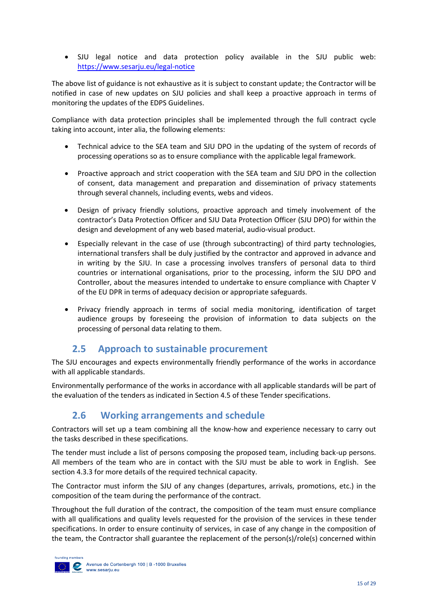• SJU legal notice and data protection policy available in the SJU public web: <https://www.sesarju.eu/legal-notice>

The above list of guidance is not exhaustive as it is subject to constant update; the Contractor will be notified in case of new updates on SJU policies and shall keep a proactive approach in terms of monitoring the updates of the EDPS Guidelines.

Compliance with data protection principles shall be implemented through the full contract cycle taking into account, inter alia, the following elements:

- Technical advice to the SEA team and SJU DPO in the updating of the system of records of processing operations so as to ensure compliance with the applicable legal framework.
- Proactive approach and strict cooperation with the SEA team and SJU DPO in the collection of consent, data management and preparation and dissemination of privacy statements through several channels, including events, webs and videos.
- Design of privacy friendly solutions, proactive approach and timely involvement of the contractor's Data Protection Officer and SJU Data Protection Officer (SJU DPO) for within the design and development of any web based material, audio-visual product.
- Especially relevant in the case of use (through subcontracting) of third party technologies, international transfers shall be duly justified by the contractor and approved in advance and in writing by the SJU. In case a processing involves transfers of personal data to third countries or international organisations, prior to the processing, inform the SJU DPO and Controller, about the measures intended to undertake to ensure compliance with Chapter V of the EU DPR in terms of adequacy decision or appropriate safeguards.
- Privacy friendly approach in terms of social media monitoring, identification of target audience groups by foreseeing the provision of information to data subjects on the processing of personal data relating to them.

## **2.5 Approach to sustainable procurement**

<span id="page-14-0"></span>The SJU encourages and expects environmentally friendly performance of the works in accordance with all applicable standards.

Environmentally performance of the works in accordance with all applicable standards will be part of the evaluation of the tenders as indicated in Section 4.5 of these Tender specifications.

## <span id="page-14-1"></span>**2.6 Working arrangements and schedule**

Contractors will set up a team combining all the know-how and experience necessary to carry out the tasks described in these specifications.

The tender must include a list of persons composing the proposed team, including back-up persons. All members of the team who are in contact with the SJU must be able to work in English. See section 4.3.3 for more details of the required technical capacity.

The Contractor must inform the SJU of any changes (departures, arrivals, promotions, etc.) in the composition of the team during the performance of the contract.

Throughout the full duration of the contract, the composition of the team must ensure compliance with all qualifications and quality levels requested for the provision of the services in these tender specifications. In order to ensure continuity of services, in case of any change in the composition of the team, the Contractor shall guarantee the replacement of the person(s)/role(s) concerned within

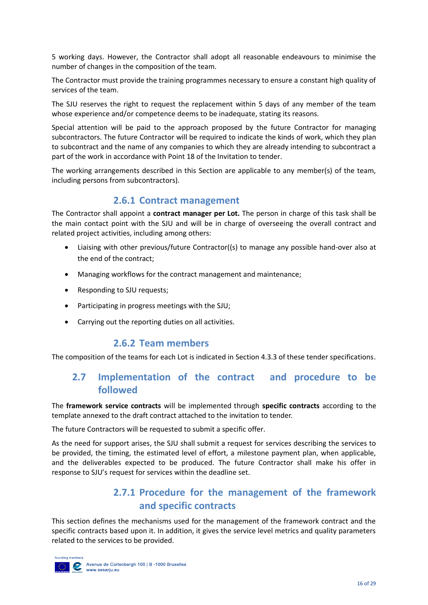5 working days. However, the Contractor shall adopt all reasonable endeavours to minimise the number of changes in the composition of the team.

The Contractor must provide the training programmes necessary to ensure a constant high quality of services of the team.

The SJU reserves the right to request the replacement within 5 days of any member of the team whose experience and/or competence deems to be inadequate, stating its reasons.

Special attention will be paid to the approach proposed by the future Contractor for managing subcontractors. The future Contractor will be required to indicate the kinds of work, which they plan to subcontract and the name of any companies to which they are already intending to subcontract a part of the work in accordance with Point 18 of the Invitation to tender.

The working arrangements described in this Section are applicable to any member(s) of the team, including persons from subcontractors).

#### **2.6.1 Contract management**

<span id="page-15-0"></span>The Contractor shall appoint a **contract manager per Lot.** The person in charge of this task shall be the main contact point with the SJU and will be in charge of overseeing the overall contract and related project activities, including among others:

- Liaising with other previous/future Contractor((s) to manage any possible hand-over also at the end of the contract;
- Managing workflows for the contract management and maintenance;
- Responding to SJU requests:
- Participating in progress meetings with the SJU;
- Carrying out the reporting duties on all activities.

#### **2.6.2 Team members**

<span id="page-15-2"></span><span id="page-15-1"></span>The composition of the teams for each Lot is indicated in Section 4.3.3 of these tender specifications.

## **2.7 Implementation of the contract and procedure to be followed**

The **framework service contracts** will be implemented through **specific contracts** according to the template annexed to the draft contract attached to the invitation to tender.

The future Contractors will be requested to submit a specific offer.

<span id="page-15-3"></span>As the need for support arises, the SJU shall submit a request for services describing the services to be provided, the timing, the estimated level of effort, a milestone payment plan, when applicable, and the deliverables expected to be produced. The future Contractor shall make his offer in response to SJU's request for services within the deadline set.

# **2.7.1 Procedure for the management of the framework and specific contracts**

This section defines the mechanisms used for the management of the framework contract and the specific contracts based upon it. In addition, it gives the service level metrics and quality parameters related to the services to be provided.

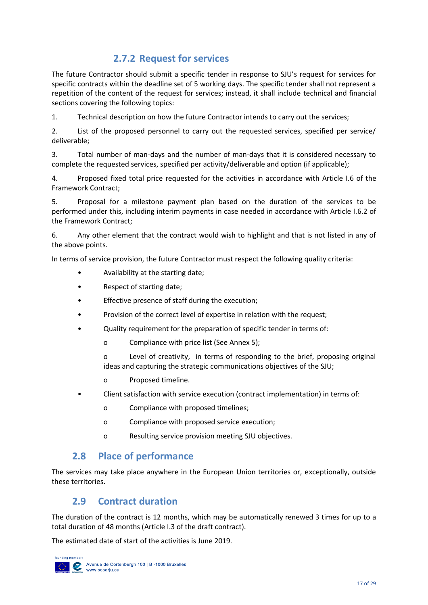# **2.7.2 Request for services**

<span id="page-16-0"></span>The future Contractor should submit a specific tender in response to SJU's request for services for specific contracts within the deadline set of 5 working days. The specific tender shall not represent a repetition of the content of the request for services; instead, it shall include technical and financial sections covering the following topics:

1. Technical description on how the future Contractor intends to carry out the services;

2. List of the proposed personnel to carry out the requested services, specified per service/ deliverable;

3. Total number of man-days and the number of man-days that it is considered necessary to complete the requested services, specified per activity/deliverable and option (if applicable);

4. Proposed fixed total price requested for the activities in accordance with Article I.6 of the Framework Contract;

5. Proposal for a milestone payment plan based on the duration of the services to be performed under this, including interim payments in case needed in accordance with Article I.6.2 of the Framework Contract;

6. Any other element that the contract would wish to highlight and that is not listed in any of the above points.

In terms of service provision, the future Contractor must respect the following quality criteria:

- Availability at the starting date;
- Respect of starting date;
- Effective presence of staff during the execution;
- Provision of the correct level of expertise in relation with the request;
- Quality requirement for the preparation of specific tender in terms of:
	- o Compliance with price list (See Annex 5);

o Level of creativity, in terms of responding to the brief, proposing original ideas and capturing the strategic communications objectives of the SJU;

- o Proposed timeline.
- Client satisfaction with service execution (contract implementation) in terms of:
	- o Compliance with proposed timelines;
	- o Compliance with proposed service execution;
	- o Resulting service provision meeting SJU objectives.

#### <span id="page-16-1"></span>**2.8 Place of performance**

<span id="page-16-2"></span>The services may take place anywhere in the European Union territories or, exceptionally, outside these territories.

#### **2.9 Contract duration**

The duration of the contract is 12 months, which may be automatically renewed 3 times for up to a total duration of 48 months (Article I.3 of the draft contract).

The estimated date of start of the activities is June 2019.

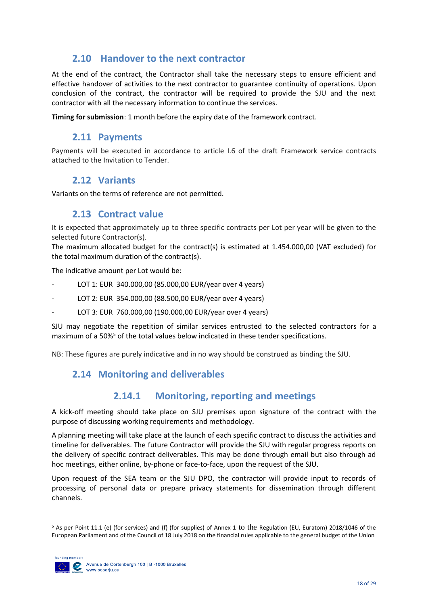## <span id="page-17-0"></span>**2.10 Handover to the next contractor**

At the end of the contract, the Contractor shall take the necessary steps to ensure efficient and effective handover of activities to the next contractor to guarantee continuity of operations. Upon conclusion of the contract, the contractor will be required to provide the SJU and the next contractor with all the necessary information to continue the services.

<span id="page-17-1"></span>**Timing for submission**: 1 month before the expiry date of the framework contract.

#### **2.11 Payments**

<span id="page-17-2"></span>Payments will be executed in accordance to article I.6 of the draft Framework service contracts attached to the Invitation to Tender.

#### **2.12 Variants**

<span id="page-17-3"></span>Variants on the terms of reference are not permitted.

#### **2.13 Contract value**

It is expected that approximately up to three specific contracts per Lot per year will be given to the selected future Contractor(s).

The maximum allocated budget for the contract(s) is estimated at 1.454.000,00 (VAT excluded) for the total maximum duration of the contract(s).

The indicative amount per Lot would be:

- LOT 1: EUR 340.000,00 (85.000,00 EUR/year over 4 years)
- LOT 2: EUR 354.000,00 (88.500,00 EUR/year over 4 years)
- LOT 3: EUR 760.000,00 (190.000,00 EUR/year over 4 years)

SJU may negotiate the repetition of similar services entrusted to the selected contractors for a maximum of a 50%<sup>5</sup> of the total values below indicated in these tender specifications.

<span id="page-17-4"></span>NB: These figures are purely indicative and in no way should be construed as binding the SJU.

## **2.14 Monitoring and deliverables**

## **2.14.1 Monitoring, reporting and meetings**

<span id="page-17-5"></span>A kick-off meeting should take place on SJU premises upon signature of the contract with the purpose of discussing working requirements and methodology.

A planning meeting will take place at the launch of each specific contract to discuss the activities and timeline for deliverables. The future Contractor will provide the SJU with regular progress reports on the delivery of specific contract deliverables. This may be done through email but also through ad hoc meetings, either online, by-phone or face-to-face, upon the request of the SJU.

Upon request of the SEA team or the SJU DPO, the contractor will provide input to records of processing of personal data or prepare privacy statements for dissemination through different channels.

<sup>5</sup> As per Point 11.1 (e) (for services) and (f) (for supplies) of Annex 1 to the Regulation (EU, Euratom) 2018/1046 of the European Parliament and of the Council of 18 July 2018 on the financial rules applicable to the general budget of the Union



1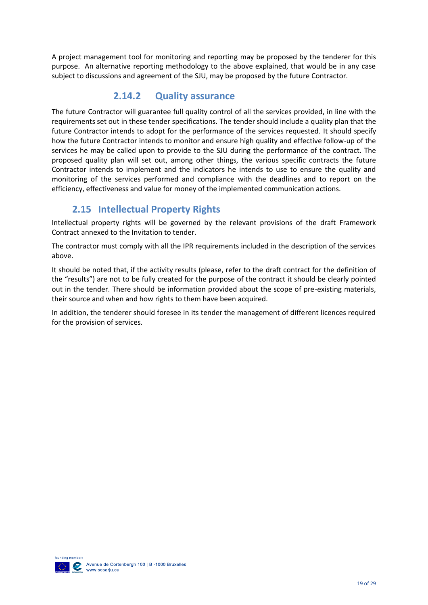A project management tool for monitoring and reporting may be proposed by the tenderer for this purpose. An alternative reporting methodology to the above explained, that would be in any case subject to discussions and agreement of the SJU, may be proposed by the future Contractor.

## **2.14.2 Quality assurance**

<span id="page-18-0"></span>The future Contractor will guarantee full quality control of all the services provided, in line with the requirements set out in these tender specifications. The tender should include a quality plan that the future Contractor intends to adopt for the performance of the services requested. It should specify how the future Contractor intends to monitor and ensure high quality and effective follow-up of the services he may be called upon to provide to the SJU during the performance of the contract. The proposed quality plan will set out, among other things, the various specific contracts the future Contractor intends to implement and the indicators he intends to use to ensure the quality and monitoring of the services performed and compliance with the deadlines and to report on the efficiency, effectiveness and value for money of the implemented communication actions.

## **2.15 Intellectual Property Rights**

<span id="page-18-1"></span>Intellectual property rights will be governed by the relevant provisions of the draft Framework Contract annexed to the Invitation to tender.

The contractor must comply with all the IPR requirements included in the description of the services above.

It should be noted that, if the activity results (please, refer to the draft contract for the definition of the "results") are not to be fully created for the purpose of the contract it should be clearly pointed out in the tender. There should be information provided about the scope of pre-existing materials, their source and when and how rights to them have been acquired.

In addition, the tenderer should foresee in its tender the management of different licences required for the provision of services.

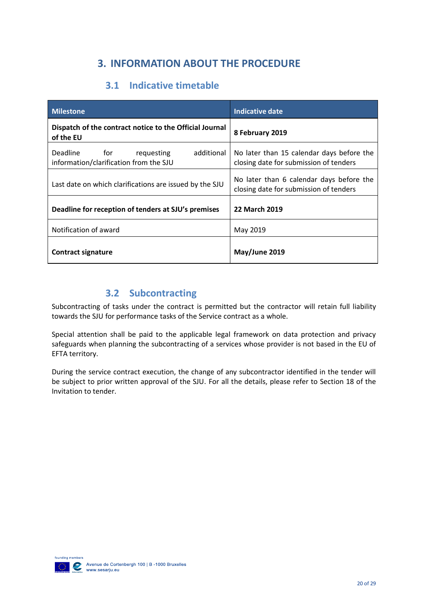# **3. INFORMATION ABOUT THE PROCEDURE**

# **3.1 Indicative timetable**

<span id="page-19-1"></span><span id="page-19-0"></span>

| <b>Milestone</b>                                                                | Indicative date                                                                     |
|---------------------------------------------------------------------------------|-------------------------------------------------------------------------------------|
| Dispatch of the contract notice to the Official Journal<br>of the EU            | 8 February 2019                                                                     |
| Deadline for requesting<br>additional<br>information/clarification from the SJU | No later than 15 calendar days before the<br>closing date for submission of tenders |
| Last date on which clarifications are issued by the SJU                         | No later than 6 calendar days before the<br>closing date for submission of tenders  |
| Deadline for reception of tenders at SJU's premises                             | <b>22 March 2019</b>                                                                |
| Notification of award                                                           | May 2019                                                                            |
| Contract signature                                                              | May/June 2019                                                                       |

## **3.2 Subcontracting**

<span id="page-19-2"></span>Subcontracting of tasks under the contract is permitted but the contractor will retain full liability towards the SJU for performance tasks of the Service contract as a whole.

Special attention shall be paid to the applicable legal framework on data protection and privacy safeguards when planning the subcontracting of a services whose provider is not based in the EU of EFTA territory.

During the service contract execution, the change of any subcontractor identified in the tender will be subject to prior written approval of the SJU. For all the details, please refer to Section 18 of the Invitation to tender.

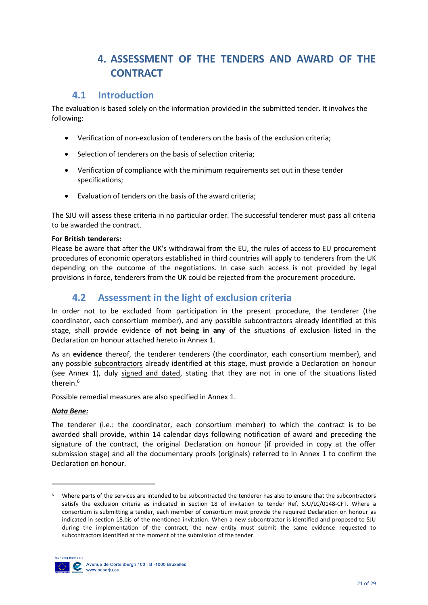# **4. ASSESSMENT OF THE TENDERS AND AWARD OF THE CONTRACT**

## <span id="page-20-0"></span>**4.1 Introduction**

<span id="page-20-1"></span>The evaluation is based solely on the information provided in the submitted tender. It involves the following:

- Verification of non-exclusion of tenderers on the basis of the exclusion criteria;
- Selection of tenderers on the basis of selection criteria;
- Verification of compliance with the minimum requirements set out in these tender specifications;
- Evaluation of tenders on the basis of the award criteria;

The SJU will assess these criteria in no particular order. The successful tenderer must pass all criteria to be awarded the contract.

#### **For British tenderers:**

Please be aware that after the UK's withdrawal from the EU, the rules of access to EU procurement procedures of economic operators established in third countries will apply to tenderers from the UK depending on the outcome of the negotiations. In case such access is not provided by legal provisions in force, tenderers from the UK could be rejected from the procurement procedure.

## **4.2 Assessment in the light of exclusion criteria**

<span id="page-20-2"></span>In order not to be excluded from participation in the present procedure, the tenderer (the coordinator, each consortium member), and any possible subcontractors already identified at this stage, shall provide evidence **of not being in any** of the situations of exclusion listed in the Declaration on honour attached hereto in Annex 1.

As an **evidence** thereof, the tenderer tenderers (the coordinator, each consortium member), and any possible subcontractors already identified at this stage, must provide a Declaration on honour (see Annex 1), duly signed and dated, stating that they are not in one of the situations listed therein. 6

Possible remedial measures are also specified in Annex 1.

#### *Nota Bene:*

The tenderer (i.e.: the coordinator, each consortium member) to which the contract is to be awarded shall provide, within 14 calendar days following notification of award and preceding the signature of the contract, the original Declaration on honour (if provided in copy at the offer submission stage) and all the documentary proofs (originals) referred to in Annex 1 to confirm the Declaration on honour.

Where parts of the services are intended to be subcontracted the tenderer has also to ensure that the subcontractors satisfy the exclusion criteria as indicated in section 18 of invitation to tender Ref. SJU/LC/0148-CFT. Where a consortium is submitting a tender, each member of consortium must provide the required Declaration on honour as indicated in section 18.bis of the mentioned invitation. When a new subcontractor is identified and proposed to SJU during the implementation of the contract, the new entity must submit the same evidence requested to subcontractors identified at the moment of the submission of the tender.



1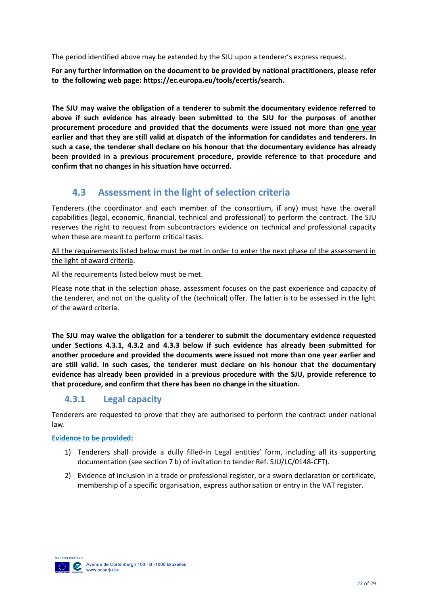The period identified above may be extended by the SJU upon a tenderer's express request.

**For any further information on the document to be provided by national practitioners, please refer to the following web page:<https://ec.europa.eu/tools/ecertis/search>.**

**The SJU may waive the obligation of a tenderer to submit the documentary evidence referred to above if such evidence has already been submitted to the SJU for the purposes of another procurement procedure and provided that the documents were issued not more than one year earlier and that they are still valid at dispatch of the information for candidates and tenderers. In such a case, the tenderer shall declare on his honour that the documentary evidence has already been provided in a previous procurement procedure, provide reference to that procedure and confirm that no changes in his situation have occurred.** 

## **4.3 Assessment in the light of selection criteria**

<span id="page-21-0"></span>Tenderers (the coordinator and each member of the consortium, if any) must have the overall capabilities (legal, economic, financial, technical and professional) to perform the contract. The SJU reserves the right to request from subcontractors evidence on technical and professional capacity when these are meant to perform critical tasks.

All the requirements listed below must be met in order to enter the next phase of the assessment in the light of award criteria.

All the requirements listed below must be met.

Please note that in the selection phase, assessment focuses on the past experience and capacity of the tenderer, and not on the quality of the (technical) offer. The latter is to be assessed in the light of the award criteria.

**The SJU may waive the obligation for a tenderer to submit the documentary evidence requested under Sections 4.3.1, 4.3.2 and 4.3.3 below if such evidence has already been submitted for another procedure and provided the documents were issued not more than one year earlier and are still valid. In such cases, the tenderer must declare on his honour that the documentary evidence has already been provided in a previous procedure with the SJU, provide reference to that procedure, and confirm that there has been no change in the situation.**

## **4.3.1 Legal capacity**

Tenderers are requested to prove that they are authorised to perform the contract under national law.

**Evidence to be provided:**

- 1) Tenderers shall provide a dully filled-in Legal entities' form, including all its supporting documentation (see section 7 b) of invitation to tender Ref. SJU/LC/0148-CFT).
- 2) Evidence of inclusion in a trade or professional register, or a sworn declaration or certificate, membership of a specific organisation, express authorisation or entry in the VAT register.

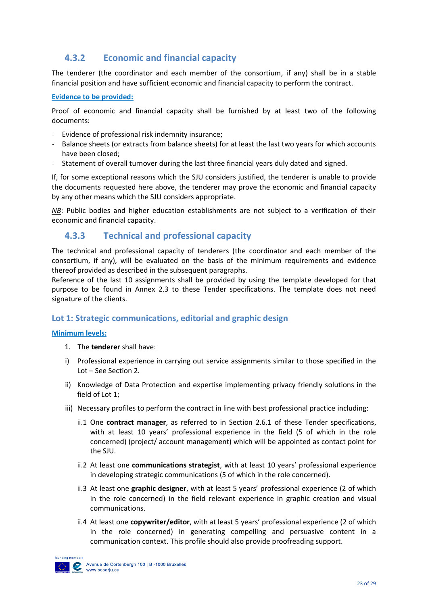## **4.3.2 Economic and financial capacity**

The tenderer (the coordinator and each member of the consortium, if any) shall be in a stable financial position and have sufficient economic and financial capacity to perform the contract.

#### **Evidence to be provided:**

Proof of economic and financial capacity shall be furnished by at least two of the following documents:

- Evidence of professional risk indemnity insurance;
- Balance sheets (or extracts from balance sheets) for at least the last two years for which accounts have been closed;
- Statement of overall turnover during the last three financial years duly dated and signed.

If, for some exceptional reasons which the SJU considers justified, the tenderer is unable to provide the documents requested here above, the tenderer may prove the economic and financial capacity by any other means which the SJU considers appropriate.

*NB*: Public bodies and higher education establishments are not subject to a verification of their economic and financial capacity.

#### **4.3.3 Technical and professional capacity**

The technical and professional capacity of tenderers (the coordinator and each member of the consortium, if any), will be evaluated on the basis of the minimum requirements and evidence thereof provided as described in the subsequent paragraphs.

Reference of the last 10 assignments shall be provided by using the template developed for that purpose to be found in Annex 2.3 to these Tender specifications. The template does not need signature of the clients.

#### **Lot 1: Strategic communications, editorial and graphic design**

#### **Minimum levels:**

- 1. The **tenderer** shall have:
- i) Professional experience in carrying out service assignments similar to those specified in the Lot – See Section 2.
- ii) Knowledge of Data Protection and expertise implementing privacy friendly solutions in the field of Lot 1;
- iii) Necessary profiles to perform the contract in line with best professional practice including:
	- ii.1 One **contract manager**, as referred to in Section 2.6.1 of these Tender specifications, with at least 10 years' professional experience in the field (5 of which in the role concerned) (project/ account management) which will be appointed as contact point for the SJU.
	- ii.2 At least one **communications strategist**, with at least 10 years' professional experience in developing strategic communications (5 of which in the role concerned).
	- ii.3 At least one **graphic designer**, with at least 5 years' professional experience (2 of which in the role concerned) in the field relevant experience in graphic creation and visual communications.
	- ii.4 At least one **copywriter/editor**, with at least 5 years' professional experience (2 of which in the role concerned) in generating compelling and persuasive content in a communication context. This profile should also provide proofreading support.

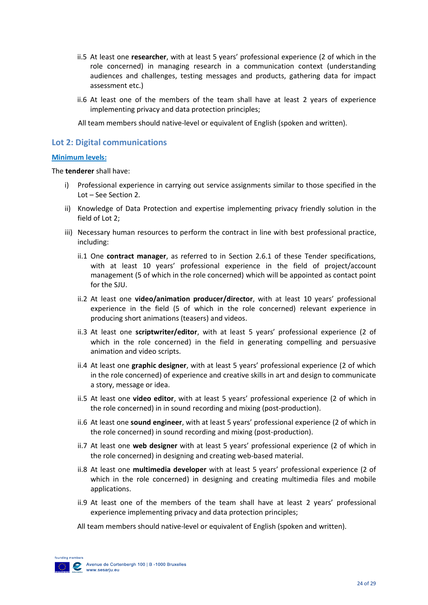- ii.5 At least one **researcher**, with at least 5 years' professional experience (2 of which in the role concerned) in managing research in a communication context (understanding audiences and challenges, testing messages and products, gathering data for impact assessment etc.)
- ii.6 At least one of the members of the team shall have at least 2 years of experience implementing privacy and data protection principles;
- All team members should native-level or equivalent of English (spoken and written).

#### **Lot 2: Digital communications**

#### **Minimum levels:**

The **tenderer** shall have:

- i) Professional experience in carrying out service assignments similar to those specified in the Lot – See Section 2.
- ii) Knowledge of Data Protection and expertise implementing privacy friendly solution in the field of Lot 2;
- iii) Necessary human resources to perform the contract in line with best professional practice, including:
	- ii.1 One **contract manager**, as referred to in Section 2.6.1 of these Tender specifications, with at least 10 years' professional experience in the field of project/account management (5 of which in the role concerned) which will be appointed as contact point for the SJU.
	- ii.2 At least one **video/animation producer/director**, with at least 10 years' professional experience in the field (5 of which in the role concerned) relevant experience in producing short animations (teasers) and videos.
	- ii.3 At least one **scriptwriter/editor**, with at least 5 years' professional experience (2 of which in the role concerned) in the field in generating compelling and persuasive animation and video scripts.
	- ii.4 At least one **graphic designer**, with at least 5 years' professional experience (2 of which in the role concerned) of experience and creative skills in art and design to communicate a story, message or idea.
	- ii.5 At least one **video editor**, with at least 5 years' professional experience (2 of which in the role concerned) in in sound recording and mixing (post-production).
	- ii.6 At least one **sound engineer**, with at least 5 years' professional experience (2 of which in the role concerned) in sound recording and mixing (post-production).
	- ii.7 At least one **web designer** with at least 5 years' professional experience (2 of which in the role concerned) in designing and creating web-based material.
	- ii.8 At least one **multimedia developer** with at least 5 years' professional experience (2 of which in the role concerned) in designing and creating multimedia files and mobile applications.
	- ii.9 At least one of the members of the team shall have at least 2 years' professional experience implementing privacy and data protection principles;
	- All team members should native-level or equivalent of English (spoken and written).

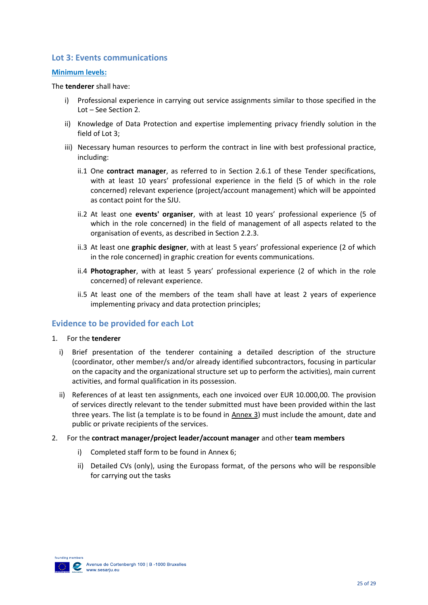#### **Lot 3: Events communications**

#### **Minimum levels:**

The **tenderer** shall have:

- i) Professional experience in carrying out service assignments similar to those specified in the Lot – See Section 2.
- ii) Knowledge of Data Protection and expertise implementing privacy friendly solution in the field of Lot 3;
- iii) Necessary human resources to perform the contract in line with best professional practice, including:
	- ii.1 One **contract manager**, as referred to in Section 2.6.1 of these Tender specifications, with at least 10 years' professional experience in the field (5 of which in the role concerned) relevant experience (project/account management) which will be appointed as contact point for the SJU.
	- ii.2 At least one **events' organiser**, with at least 10 years' professional experience (5 of which in the role concerned) in the field of management of all aspects related to the organisation of events, as described in Section 2.2.3.
	- ii.3 At least one **graphic designer**, with at least 5 years' professional experience (2 of which in the role concerned) in graphic creation for events communications.
	- ii.4 **Photographer**, with at least 5 years' professional experience (2 of which in the role concerned) of relevant experience.
	- ii.5 At least one of the members of the team shall have at least 2 years of experience implementing privacy and data protection principles;

#### **Evidence to be provided for each Lot**

- 1. For the **tenderer**
	- i) Brief presentation of the tenderer containing a detailed description of the structure (coordinator, other member/s and/or already identified subcontractors, focusing in particular on the capacity and the organizational structure set up to perform the activities), main current activities, and formal qualification in its possession.
	- ii) References of at least ten assignments, each one invoiced over EUR 10.000,00. The provision of services directly relevant to the tender submitted must have been provided within the last three years. The list (a template is to be found in Annex 3) must include the amount, date and public or private recipients of the services.
- 2. For the **contract manager/project leader/account manager** and other **team members**
	- i) Completed staff form to be found in Annex 6;
	- ii) Detailed CVs (only), using the Europass format, of the persons who will be responsible for carrying out the tasks

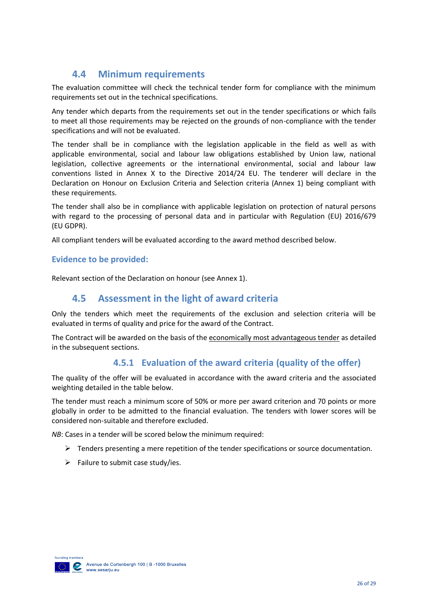# **4.4 Minimum requirements**

<span id="page-25-0"></span>The evaluation committee will check the technical tender form for compliance with the minimum requirements set out in the technical specifications.

Any tender which departs from the requirements set out in the tender specifications or which fails to meet all those requirements may be rejected on the grounds of non-compliance with the tender specifications and will not be evaluated.

The tender shall be in compliance with the legislation applicable in the field as well as with applicable environmental, social and labour law obligations established by Union law, national legislation, collective agreements or the international environmental, social and labour law conventions listed in Annex X to the Directive 2014/24 EU. The tenderer will declare in the Declaration on Honour on Exclusion Criteria and Selection criteria (Annex 1) being compliant with these requirements.

The tender shall also be in compliance with applicable legislation on protection of natural persons with regard to the processing of personal data and in particular with Regulation (EU) 2016/679 (EU GDPR).

All compliant tenders will be evaluated according to the award method described below.

#### **Evidence to be provided:**

<span id="page-25-1"></span>Relevant section of the Declaration on honour (see Annex 1).

#### **4.5 Assessment in the light of award criteria**

Only the tenders which meet the requirements of the exclusion and selection criteria will be evaluated in terms of quality and price for the award of the Contract.

The Contract will be awarded on the basis of the economically most advantageous tender as detailed in the subsequent sections.

## **4.5.1 Evaluation of the award criteria (quality of the offer)**

The quality of the offer will be evaluated in accordance with the award criteria and the associated weighting detailed in the table below.

The tender must reach a minimum score of 50% or more per award criterion and 70 points or more globally in order to be admitted to the financial evaluation. The tenders with lower scores will be considered non-suitable and therefore excluded.

*NB*: Cases in a tender will be scored below the minimum required:

- $\triangleright$  Tenders presenting a mere repetition of the tender specifications or source documentation.
- $\triangleright$  Failure to submit case study/ies.

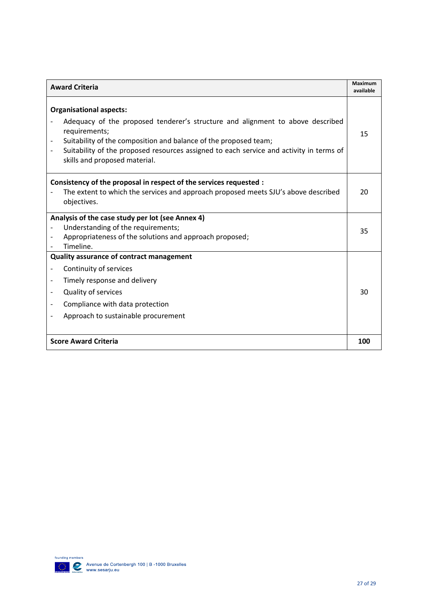| <b>Award Criteria</b>                                                                                                                                                                                                                                                                                                             |    |  |
|-----------------------------------------------------------------------------------------------------------------------------------------------------------------------------------------------------------------------------------------------------------------------------------------------------------------------------------|----|--|
| <b>Organisational aspects:</b><br>Adequacy of the proposed tenderer's structure and alignment to above described<br>requirements;<br>Suitability of the composition and balance of the proposed team;<br>Suitability of the proposed resources assigned to each service and activity in terms of<br>skills and proposed material. | 15 |  |
| Consistency of the proposal in respect of the services requested :<br>The extent to which the services and approach proposed meets SJU's above described<br>objectives.                                                                                                                                                           | 20 |  |
| Analysis of the case study per lot (see Annex 4)<br>Understanding of the requirements;<br>Appropriateness of the solutions and approach proposed;<br>Timeline.                                                                                                                                                                    | 35 |  |
| Quality assurance of contract management<br>Continuity of services<br>Timely response and delivery<br>Quality of services<br>Compliance with data protection<br>Approach to sustainable procurement                                                                                                                               | 30 |  |
| <b>Score Award Criteria</b>                                                                                                                                                                                                                                                                                                       |    |  |

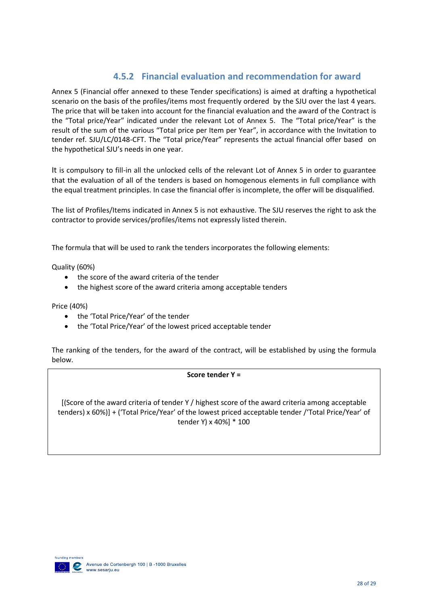## **4.5.2 Financial evaluation and recommendation for award**

Annex 5 (Financial offer annexed to these Tender specifications) is aimed at drafting a hypothetical scenario on the basis of the profiles/items most frequently ordered by the SJU over the last 4 years. The price that will be taken into account for the financial evaluation and the award of the Contract is the "Total price/Year" indicated under the relevant Lot of Annex 5. The "Total price/Year" is the result of the sum of the various "Total price per Item per Year", in accordance with the Invitation to tender ref. SJU/LC/0148-CFT. The "Total price/Year" represents the actual financial offer based on the hypothetical SJU's needs in one year.

It is compulsory to fill-in all the unlocked cells of the relevant Lot of Annex 5 in order to guarantee that the evaluation of all of the tenders is based on homogenous elements in full compliance with the equal treatment principles. In case the financial offer is incomplete, the offer will be disqualified.

The list of Profiles/Items indicated in Annex 5 is not exhaustive. The SJU reserves the right to ask the contractor to provide services/profiles/items not expressly listed therein.

The formula that will be used to rank the tenders incorporates the following elements:

Quality (60%)

- the score of the award criteria of the tender
- the highest score of the award criteria among acceptable tenders

Price (40%)

- the 'Total Price/Year' of the tender
- the 'Total Price/Year' of the lowest priced acceptable tender

The ranking of the tenders, for the award of the contract, will be established by using the formula below.

**Score tender Y =**

[(Score of the award criteria of tender Y / highest score of the award criteria among acceptable tenders) x 60%)] + ('Total Price/Year' of the lowest priced acceptable tender /'Total Price/Year' of tender Y) x 40%] \* 100